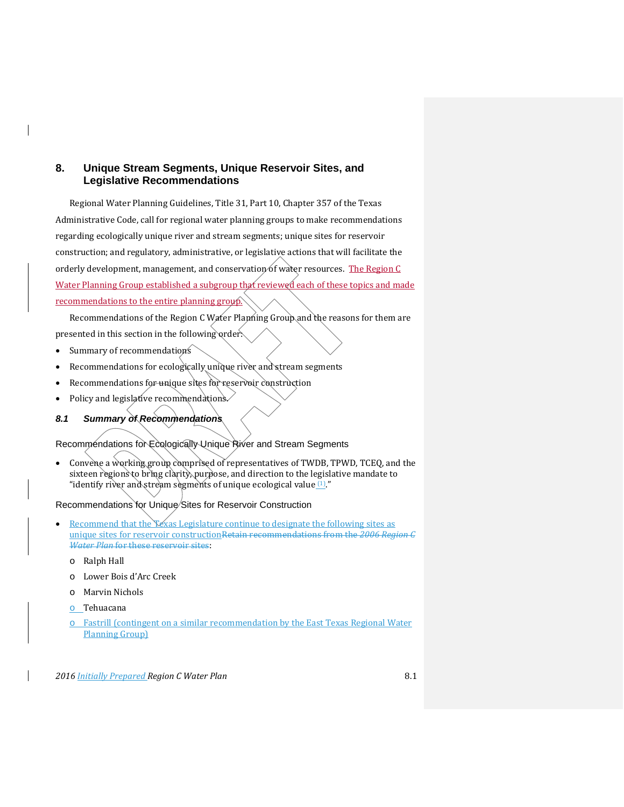# **8. Unique Stream Segments, Unique Reservoir Sites, and Legislative Recommendations**

Regional Water Planning Guidelines, Title 31, Part 10, Chapter 357 of the Texas Administrative Code, call for regional water planning groups to make recommendations regarding ecologically unique river and stream segments; unique sites for reservoir construction; and regulatory, administrative, or legislative actions that will facilitate the orderly development, management, and conservation of water resources. The Region  $C$ Water Planning Group established a subgroup that reviewed each of these topics and made recommendations to the entire planning group.

Recommendations of the Region C Water Planning Group and the reasons for them are presented in this section in the following order:

- Summary of recommendations
- Recommendations for ecologically unique river and stream segments
- Recommendations for unique sites for reservoir construction
- Policy and legislative recommendations.
- *8.1 Summary of Recommendations*

Recommendations for Ecologically Unique River and Stream Segments

• Convene a working group comprised of representatives of TWDB, TPWD, TCEQ, and the sixteen regions to bring clarity, purpose, and direction to the legislative mandate to "identify river and stream segments of unique ecological value  $(1)$ ."

Recommendations for Unique/Sites for Reservoir Construction

- Recommend that the Yexas Legislature continue to designate the following sites as unique sites for reservoir constructionRetain recommendations from the *2006 Region C Water Plan* for these reservoir sites:
	- o Ralph Hall
	- o Lower Bois d'Arc Creek
	- o Marvin Nichols
	- o Tehuacana
	- o Fastrill (contingent on a similar recommendation by the East Texas Regional Water Planning Group)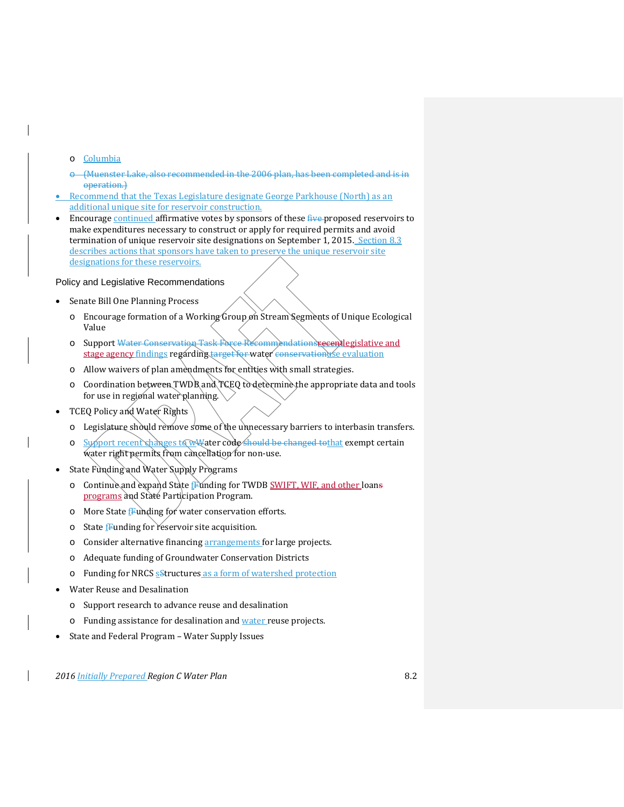- o Columbia
- (Muenster Lake, also recommended in the 2006 plan, has been completed and is in operation.)
- Recommend that the Texas Legislature designate George Parkhouse (North) as an additional unique site for reservoir construction.
- Encourage continued affirmative votes by sponsors of these five proposed reservoirs to make expenditures necessary to construct or apply for required permits and avoid termination of unique reservoir site designations on September 1, 2015. Section 8.3 describes actions that sponsors have taken to preserve the unique reservoir site designations for these reservoirs.

#### Policy and Legislative Recommendations

- Senate Bill One Planning Process
	- $\circ$  Encourage formation of a Working Group on Stream Segments of Unique Ecological Value
	- o Support Water Conservation Task Force Recommendationsrecentlegislative and stage agency findings regarding target for water conservationuse evaluation
	- o Allow waivers of plan amendments for entities with small strategies.
	- o Coordination between TWDB and TCEQ to determine the appropriate data and tools for use in regional water planning.
- TCEQ Policy and Water Rights
	- o Legislature should remove some of the unnecessary barriers to interbasin transfers.
	- o Support recent shanges to wwater code should be changed to that exempt certain water right permits from cancellation for non-use.
- State Funding and Water Supply Programs
	- o Continue and expand State Funding for TWDB SWIFT, WIF, and other loans programs and State Participation Program.
	- o More State fFunding for water conservation efforts.
	- $\circ$  State **F**unding for reservoir site acquisition.
	- o Consider alternative financing arrangements for large projects.
	- o Adequate funding of Groundwater Conservation Districts
	- o Funding for NRCS sStructures as a form of watershed protection
- Water Reuse and Desalination
	- o Support research to advance reuse and desalination
	- o Funding assistance for desalination and water reuse projects.
- State and Federal Program Water Supply Issues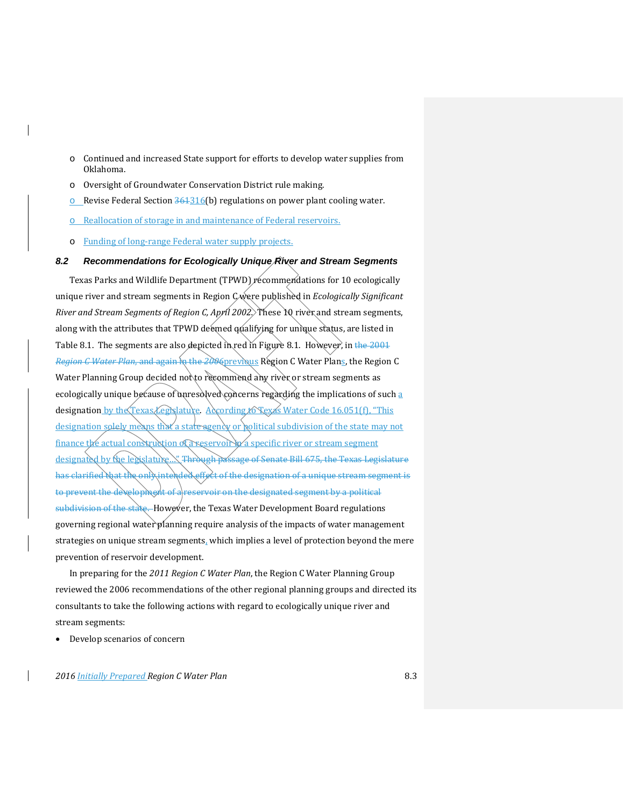- o Continued and increased State support for efforts to develop water supplies from Oklahoma.
- o Oversight of Groundwater Conservation District rule making.
- o Revise Federal Section  $361316(b)$  regulations on power plant cooling water.
- o Reallocation of storage in and maintenance of Federal reservoirs.
- o Funding of long-range Federal water supply projects.

## *8.2 Recommendations for Ecologically Unique River and Stream Segments*

Texas Parks and Wildlife Department (TPWD) recommendations for 10 ecologically unique river and stream segments in Region C were published in *Ecologically Significant River and Stream Segments of Region C, April 2002.* These 10 river and stream segments, along with the attributes that TPWD deemed qualifying for unique status, are listed in Table 8.1. The segments are also depicted in red in Figure 8.1. However, in the 2001 *Region G Water Plan, and again hat the 2006* previous Region C Water Plans, the Region C Water Planning Group decided not to recommend any river or stream segments as ecologically unique because of unresolved concerns regarding the implications of such a designation by the Texas Legislature. According to Texas Water Code 16.051(f), "This designation solely means that a state agency or political subdivision of the state may not finance the actual construction of a reservoir  $\sqrt{x}$  specific river or stream segment designated by the legislature... Through passage of Senate Bill 675, the Texas Legislature has clarified that the only intended effect of the designation of a unique stream segment is to prevent the dexelopment of a reservoir on the designated segment by a political subdivision of the state. However, the Texas Water Development Board regulations governing regional water planning require analysis of the impacts of water management strategies on unique stream segments, which implies a level of protection beyond the mere prevention of reservoir development.

In preparing for the *2011 Region C Water Plan*, the Region C Water Planning Group reviewed the 2006 recommendations of the other regional planning groups and directed its consultants to take the following actions with regard to ecologically unique river and stream segments:

• Develop scenarios of concern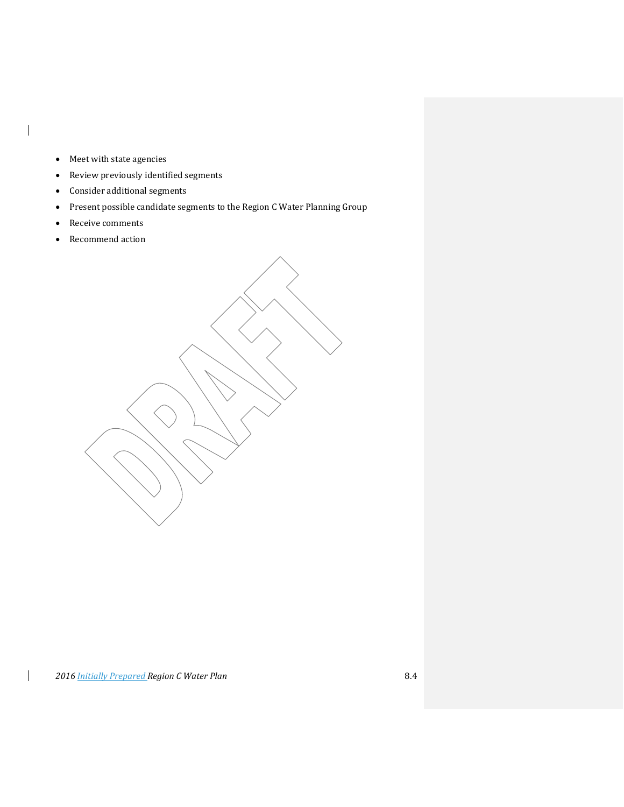• Meet with state agencies

 $\mathbf{I}$ 

- Review previously identified segments
- Consider additional segments
- Present possible candidate segments to the Region C Water Planning Group
- Receive comments
- Recommend action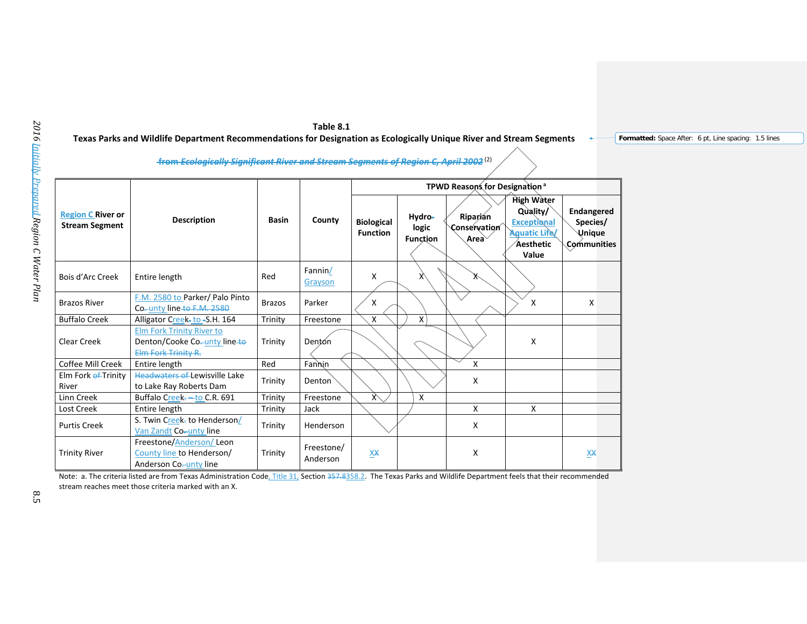| Table 8.1                                                                                                            |
|----------------------------------------------------------------------------------------------------------------------|
| Texas Parks and Wildlife Department Recommendations for Designation as Ecologically Unique River and Stream Segments |

**Formatted:** Space After: 6 pt, Line spacing: 1.5 lines

**from** *Ecologically Significant River and Stream Segments of Region C, April 2002* (2)

|                                                   |                                                                                         |               | TPWD Reasons for Designation <sup>a</sup> |                                      |                                    |                                               |                                                                                                   |                                                               |
|---------------------------------------------------|-----------------------------------------------------------------------------------------|---------------|-------------------------------------------|--------------------------------------|------------------------------------|-----------------------------------------------|---------------------------------------------------------------------------------------------------|---------------------------------------------------------------|
| <b>Region C River or</b><br><b>Stream Segment</b> | <b>Description</b>                                                                      | <b>Basin</b>  | County                                    | <b>Biological</b><br><b>Function</b> | Hydro-<br>logic<br><b>Function</b> | Riparián<br>Conservation<br>Area <sup>\</sup> | High Water<br>Quality/<br><b>Exceptional</b><br><b>Aquatic Life/</b><br><b>Aesthetic</b><br>Value | <b>Endangered</b><br>Species/<br><b>Unique</b><br>Communities |
| Bois d'Arc Creek                                  | Entire length                                                                           | Red           | Fannin/<br>Grayson                        | X                                    | X                                  | ∧                                             |                                                                                                   |                                                               |
| <b>Brazos River</b>                               | F.M. 2580 to Parker/Palo Pinto<br>Co-unty line-to-F.M. 2580                             | <b>Brazos</b> | Parker                                    | X                                    |                                    |                                               | x                                                                                                 | X                                                             |
| <b>Buffalo Creek</b>                              | Alligator Creek- to -S.H. 164                                                           | Trinity       | Freestone                                 | X                                    | X                                  |                                               |                                                                                                   |                                                               |
| Clear Creek                                       | <b>Elm Fork Trinity River to</b><br>Denton/Cooke Co-unty line-to<br>Elm Fork Trinity R. | Trinity       | Dentón                                    |                                      |                                    |                                               | X                                                                                                 |                                                               |
| Coffee Mill Creek                                 | Entire length                                                                           | Red           | Fannin                                    |                                      |                                    | X                                             |                                                                                                   |                                                               |
| Elm Fork ef-Trinity<br>River                      | <b>Headwaters of Lewisville Lake</b><br>to Lake Ray Roberts Dam                         | Trinity       | Denton                                    |                                      |                                    | X                                             |                                                                                                   |                                                               |
| Linn Creek                                        | Buffalo Creek--to C.R. 691                                                              | Trinity       | Freestone                                 | $\chi$                               | X                                  |                                               |                                                                                                   |                                                               |
| Lost Creek                                        | Entire length                                                                           | Trinity       | Jack                                      |                                      |                                    | X                                             | X                                                                                                 |                                                               |
| <b>Purtis Creek</b>                               | S. Twin Creek- to Henderson/<br>Van Zandt Co-unty line                                  | Trinity       | Henderson                                 |                                      |                                    | X                                             |                                                                                                   |                                                               |
| <b>Trinity River</b>                              | Freestone/Anderson/Leon<br>County line to Henderson/<br>Anderson Co-unty line           | Trinity       | Freestone/<br>Anderson                    | XX                                   |                                    | X                                             |                                                                                                   | XX                                                            |

Note: a. The criteria listed are from Texas Administration Code, Title 31, Section 357.8358.2. The Texas Parks and Wildlife Department feels that their recommended stream reaches meet those criteria marked with an X.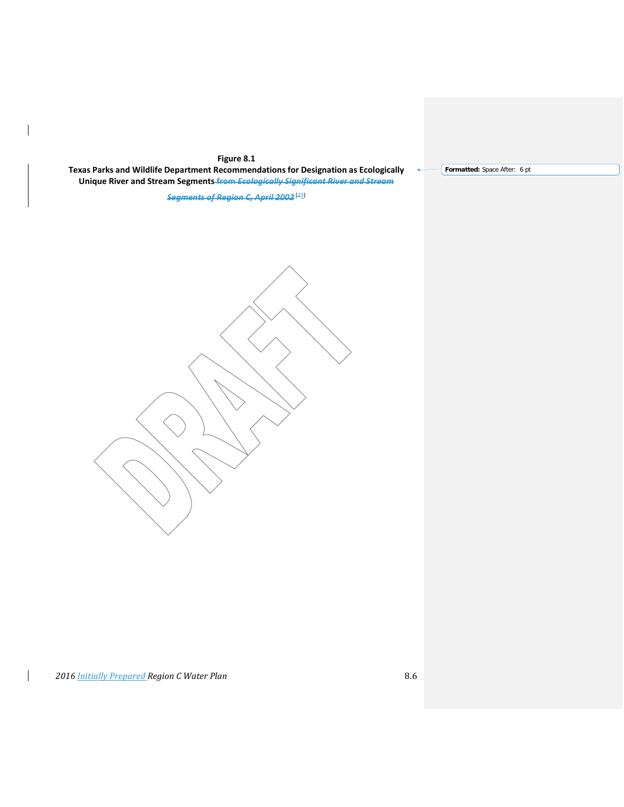# **Figure 8.1**

 $\overline{\phantom{a}}$ 

 $\mathsf{I}$ 

**Texas Parks and Wildlife Department Recommendations for Designation as Ecologically Unique River and Stream Segments from** *Ecologically Significant River and Stream*

*Segments of Region C, April 2002* (23)

**Formatted:** Space After: 6 pt

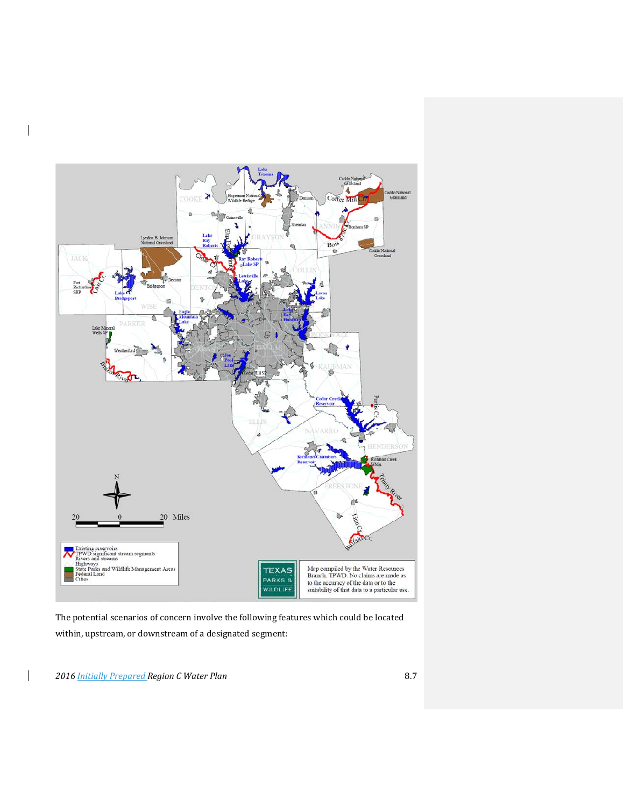

The potential scenarios of concern involve the following features which could be located within, upstream, or downstream of a designated segment:

*2016 Initially Prepared Region C Water Plan* 8.7

 $\overline{\phantom{a}}$ 

 $\overline{\phantom{a}}$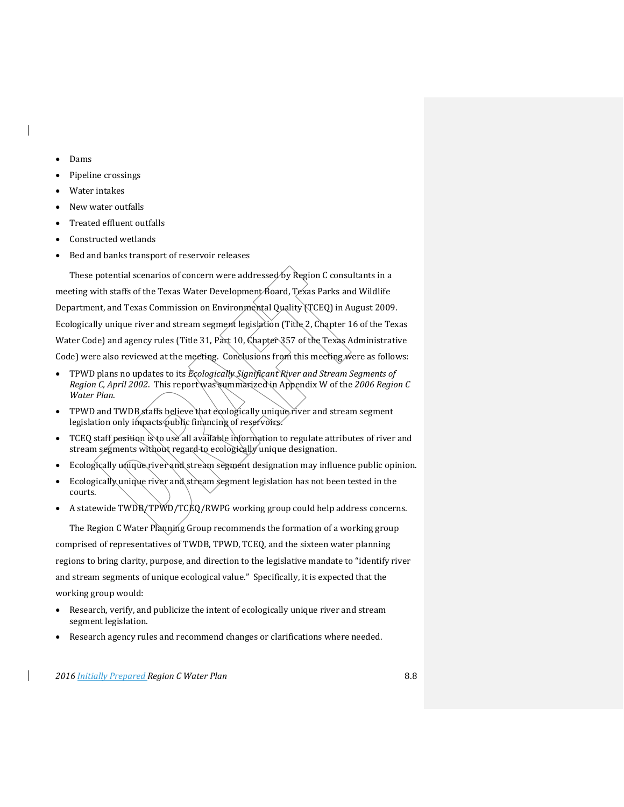- Dams
- Pipeline crossings
- Water intakes
- New water outfalls
- Treated effluent outfalls
- Constructed wetlands
- Bed and banks transport of reservoir releases

These potential scenarios of concern were addressed by Region C consultants in a meeting with staffs of the Texas Water Development Board, Texas Parks and Wildlife Department, and Texas Commission on Environmental Quality (TCEQ) in August 2009. Ecologically unique river and stream segment legislation (Title 2, Chapter 16 of the Texas Water Code) and agency rules (Title 31, Part 10, Chapter 357 of the Texas Administrative Code) were also reviewed at the meeting. Conclusions from this meeting were as follows:

- TPWD plans no updates to its *Ecologically Significant River and Stream Segments of Region C, April 2002*. This report was summarized in Appendix W of the *2006 Region C Water Plan*.
- TPWD and TWDB staffs believe that ecologically unique river and stream segment legislation only impacts public financing of reservoirs.
- TCEQ staff position is to use all available information to regulate attributes of river and stream segments without regard to ecologically unique designation.
- Ecologically unique river and stream segment designation may influence public opinion.
- Ecologically unique river and stream segment legislation has not been tested in the courts.
- A statewide TWDB/TPWD/TCEQ/RWPG working group could help address concerns.

The Region C Water Planning Group recommends the formation of a working group comprised of representatives of TWDB, TPWD, TCEQ, and the sixteen water planning regions to bring clarity, purpose, and direction to the legislative mandate to "identify river and stream segments of unique ecological value." Specifically, it is expected that the working group would:

- Research, verify, and publicize the intent of ecologically unique river and stream segment legislation.
- Research agency rules and recommend changes or clarifications where needed.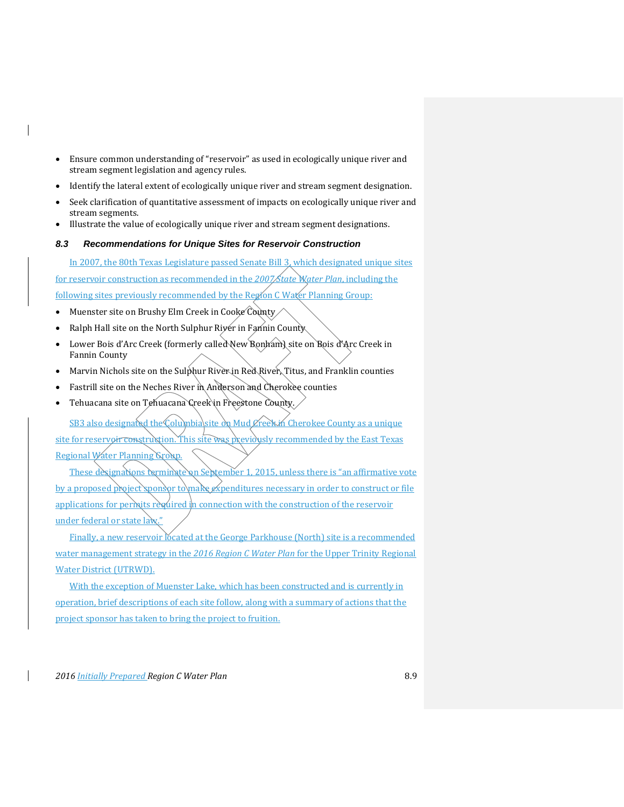- Ensure common understanding of "reservoir" as used in ecologically unique river and stream segment legislation and agency rules.
- Identify the lateral extent of ecologically unique river and stream segment designation.
- Seek clarification of quantitative assessment of impacts on ecologically unique river and stream segments.
- Illustrate the value of ecologically unique river and stream segment designations.

### *8.3 Recommendations for Unique Sites for Reservoir Construction*

In 2007, the 80th Texas Legislature passed Senate Bill 3, which designated unique sites for reservoir construction as recommended in the *2007 State Water Plan*, including the following sites previously recommended by the Region C Water Planning Group:

- Muenster site on Brushy Elm Creek in Cooke County
- Ralph Hall site on the North Sulphur River in Fannin County
- Lower Bois d'Arc Creek (formerly called New Bonham) site on Bois d'Arc Creek in Fannin County
- Marvin Nichols site on the Sulphur River in Red River, Titus, and Franklin counties
- Fastrill site on the Neches River in Anderson and Cherokee counties
- Tehuacana site on Tehuacana Creek in Freestone County.

SB3 also designated the Columbia site on Mud Creek in Cherokee County as a unique site for reservoir construction. This site was previously recommended by the East Texas Regional Water Planning Group.

These designations terminate on September 1, 2015, unless there is "an affirmative vote by a proposed project sponsor to make expenditures necessary in order to construct or file applications for permits required in connection with the construction of the reservoir under federal or state law

Finally, a new reservoir located at the George Parkhouse (North) site is a recommended water management strategy in the *2016 Region C Water Plan* for the Upper Trinity Regional Water District (UTRWD).

With the exception of Muenster Lake, which has been constructed and is currently in operation, brief descriptions of each site follow, along with a summary of actions that the project sponsor has taken to bring the project to fruition.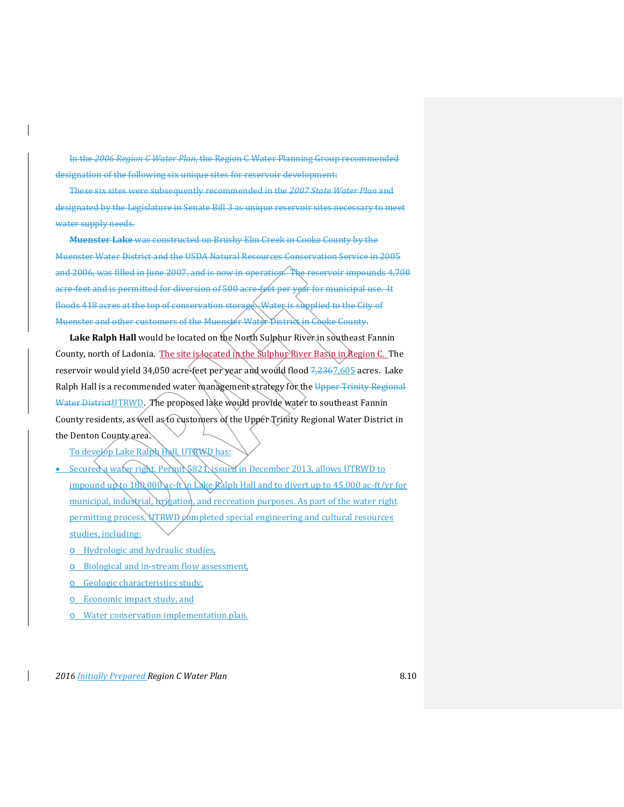In the *2006 Region C Water Plan*, the Region C Water Planning Group recommended designation of the following six unique sites for reservoir development:

These six sites were subsequently recommended in the *2007 State Water Plan* and designated by the Legislature in Senate Bill 3 as unique reservoir sites necessary to meet water supply needs.

**Muenster Lake** was constructed on Brushy Elm Creek in Cooke County by the Muenster Water District and the USDA Natural Resources Conservation Service in 2005 and 2006, was filled in June 2007, and is now in operation. The reservoir impounds 4,700 acre-feet and is permitted for diversion of 500 acre-feet per yoar for municipal use. It floods 418 acres at the top of conservation storage. Water is supplied to the City of Muenster and other customers of the Muenster Water District in Cooke County.

Lake Ralph Hall would be located on the North Sulphur River in southeast Fannin County, north of Ladonia. The site is located in the Sulphur River Basin in Region C. The reservoir would yield 34,050 acre<sup>s</sup>feet per year and would flood <del>7,236</del>7,605 acres. Lake Ralph Hall is a recommended water management strategy for the Upper Trinity Regional Water DistrictUTRWD. The proposed lake would provide water to southeast Fannin County residents, as well as to customers of the Upper Trinity Regional Water District in the Denton County area.

- To develop Lake Ralph Hall, UTRWD has:
- Secured a water right. Permit 5821, issued in December 2013, allows UTRWD to impound up to  $180,000$  ac-ft in Lake Ralph Hall and to divert up to  $45,000$  ac-ft/yr for municipal, industrial, irrigation, and recreation purposes. As part of the water right permitting process,  $VTRWD$  completed special engineering and cultural resources studies, including:
	- o Hydrologic and hydraulic studies,
	- o Biological and in-stream flow assessment,
	- o Geologic characteristics study,
	- o Economic impact study, and
	- o Water conservation implementation plan.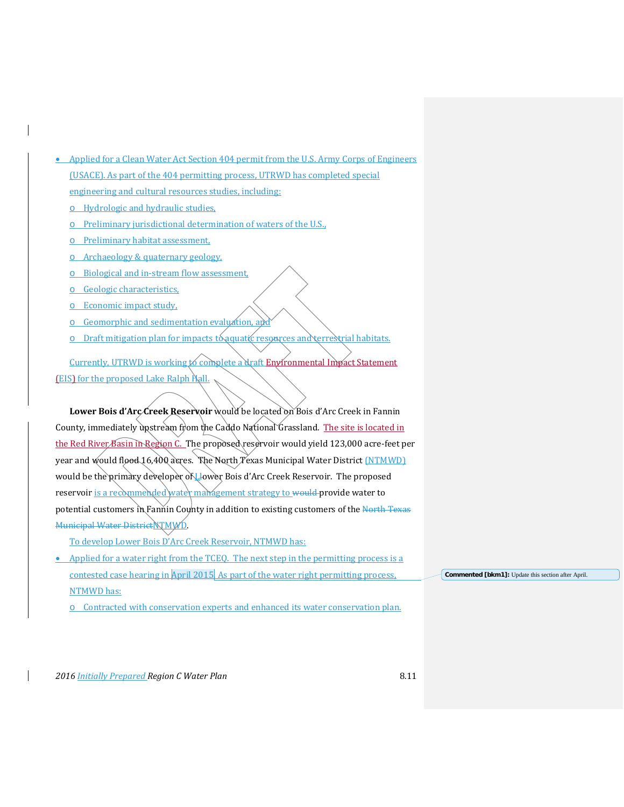| Applied for a Clean Water Act Section 404 permit from the U.S. Army Corps of Engineers<br>$\bullet$ |                                                    |
|-----------------------------------------------------------------------------------------------------|----------------------------------------------------|
| (USACE). As part of the 404 permitting process, UTRWD has completed special                         |                                                    |
| engineering and cultural resources studies, including:                                              |                                                    |
| Hydrologic and hydraulic studies,                                                                   |                                                    |
| Preliminary jurisdictional determination of waters of the U.S.                                      |                                                    |
| Preliminary habitat assessment,                                                                     |                                                    |
| Archaeology & quaternary geology,<br>Ō                                                              |                                                    |
| Biological and in-stream flow assessment,                                                           |                                                    |
| Geologic characteristics,<br>O                                                                      |                                                    |
| Economic impact study,                                                                              |                                                    |
| Geomorphic and sedimentation evaluation, and                                                        |                                                    |
| Draft mitigation plan for impacts to aquatic resources and terrestrial habitats.                    |                                                    |
| Currently, UTRWD is working to complete a draft Enyironmental Impact Statement                      |                                                    |
| <b>(EIS)</b> for the proposed Lake Ralph Pall.                                                      |                                                    |
|                                                                                                     |                                                    |
| Lower Bois d'Arc Creek Reservoir would be located on Bois d'Arc Creek in Fannin                     |                                                    |
| County, immediately upstream from the Caddo National Grassland. The site is located in              |                                                    |
| the Red River Basin in Region C. The proposed reservoir would yield 123,000 acre-feet per           |                                                    |
| year and would flood 16,400 acres. The North Texas Municipal Water District (NTMWD)                 |                                                    |
| would be the primary developer of Llower Bois d'Arc Creek Reservoir. The proposed                   |                                                    |
| reservoir is a recommended water management strategy to would provide water to                      |                                                    |
| potential customers in Fannin County in addition to existing customers of the North Texas           |                                                    |
| Municipal Water DistrictNTMWD                                                                       |                                                    |
| To develop Lower Bois D'Arc Creek Reservoir, NTMWD has:                                             |                                                    |
| Applied for a water right from the TCEO. The next step in the permitting process is a<br>$\bullet$  |                                                    |
| contested case hearing in April 2015. As part of the water right permitting process,                | Commented [bkm1]: Update this section after April. |
| <b>NTMWD</b> has:                                                                                   |                                                    |
| Contracted with conservation experts and enhanced its water conservation plan.                      |                                                    |

 $\overline{\phantom{a}}$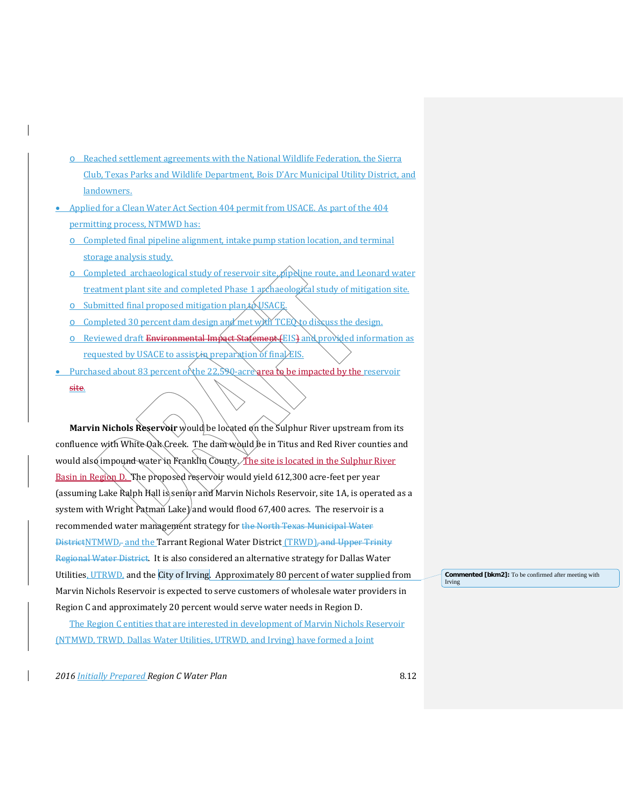- o Reached settlement agreements with the National Wildlife Federation, the Sierra Club, Texas Parks and Wildlife Department, Bois D'Arc Municipal Utility District, and landowners.
- Applied for a Clean Water Act Section 404 permit from USACE. As part of the 404 permitting process, NTMWD has:
	- o Completed final pipeline alignment, intake pump station location, and terminal storage analysis study.
	- $\circ$  Completed archaeological study of reservoir site, pipeline route, and Leonard water treatment plant site and completed Phase 1 apchaeological study of mitigation site.
	- o Submitted final proposed mitigation plan  $\&$  USACE
	- $\circ$  Completed 30 percent dam design and met with TCE to discuss the design.
	- o Reviewed draft Environmental Impact Statement (EIS) and provided information as requested by USACE to assist in preparation of final EIS.
- Purchased about 83 percent of the 22,590-acrearea to be impacted by the reservoir site.

**Marvin Nichols Reservoir** would be located on the Sulphur River upstream from its confluence with White Oak Creek. The dam would be in Titus and Red River counties and would also impound water in Franklin County. *The site is located in the Sulphur River* Basin in Region D. The proposed reservoir would yield 612,300 acre-feet per year (assuming Lake Ralph Hall is senior and Marvin Nichols Reservoir, site 1A, is operated as a system with Wright Patman Lake) and would flood 67,400 acres. The reservoir is a recommended water management strategy for the North Texas Municipal Water DistrictNTMWD<sub>r</sub> and the Tarrant Regional Water District (TRWD), and Upper Trinity Regional Water District. It is also considered an alternative strategy for Dallas Water Utilities, UTRWD, and the City of Irving. Approximately 80 percent of water supplied from Marvin Nichols Reservoir is expected to serve customers of wholesale water providers in Region C and approximately 20 percent would serve water needs in Region D.

The Region C entities that are interested in development of Marvin Nichols Reservoir (NTMWD, TRWD, Dallas Water Utilities, UTRWD, and Irving) have formed a Joint

*2016 Initially Prepared Region C Water Plan* 8.12

**Commented [bkm2]:** To be confirmed after meeting with Irving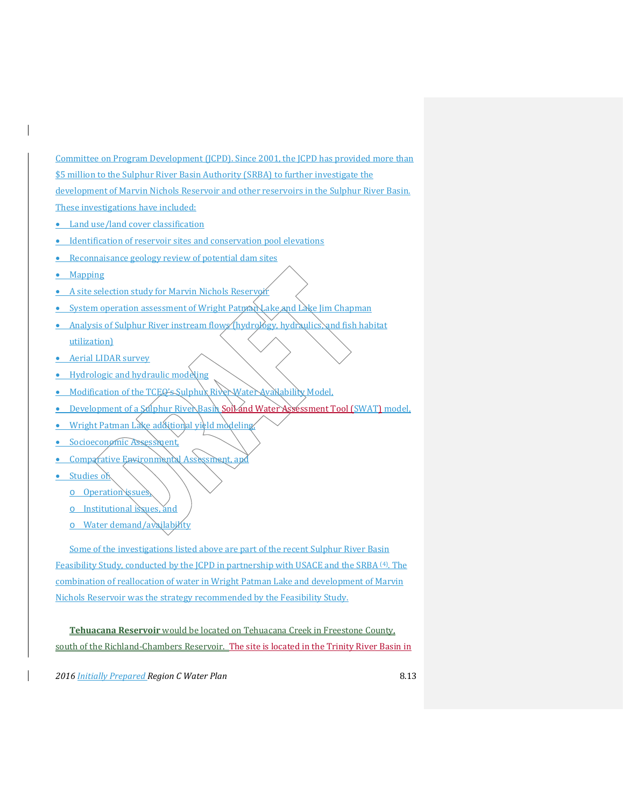Committee on Program Development (JCPD). Since 2001, the JCPD has provided more than \$5 million to the Sulphur River Basin Authority (SRBA) to further investigate the development of Marvin Nichols Reservoir and other reservoirs in the Sulphur River Basin. These investigations have included:

- Land use/land cover classification
- Identification of reservoir sites and conservation pool elevations
- Reconnaisance geology review of potential dam sites
- Mapping
- A site selection study for Marvin Nichols Reservoir
- System operation assessment of Wright Patman Lake and Lake Jim Chapman
- Analysis of Sulphur River instream flows (hydrology, hydraulics) and fish habitat utilization)
- Aerial LIDAR survey
- Hydrologic and hydraulic modeling
- Modification of the TCEQ's Sulphux River Water Availability Model,
- Development of a Salphur River Basin Soil and Water Assessment Tool (SWAT) model.
- Wright Patman Lake additional yield modeling
- Socioeconomic Assessment,
- Comparative Environmental Assessment, and
- Studies of
	- o Operation issues,
	- o Institutional issues, and
	- o Water demand/availability

Some of the investigations listed above are part of the recent Sulphur River Basin Feasibility Study, conducted by the JCPD in partnership with USACE and the SRBA <sup>(4)</sup>. The combination of reallocation of water in Wright Patman Lake and development of Marvin Nichols Reservoir was the strategy recommended by the Feasibility Study.

**Tehuacana Reservoir** would be located on Tehuacana Creek in Freestone County, south of the Richland-Chambers Reservoir. The site is located in the Trinity River Basin in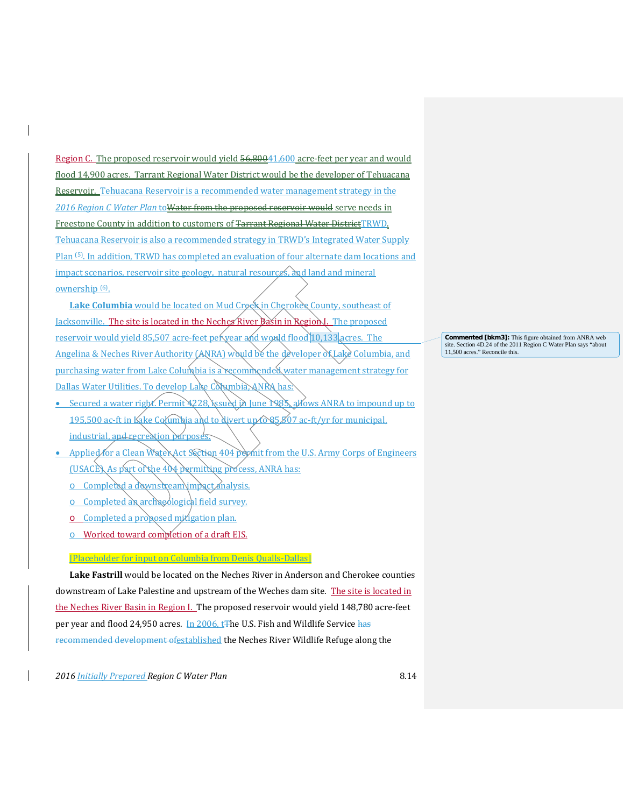Region C. The proposed reservoir would yield 56,80041,600 acre-feet per year and would flood 14,900 acres. Tarrant Regional Water District would be the developer of Tehuacana Reservoir. Tehuacana Reservoir is a recommended water management strategy in the *2016 Region C Water Plan* toWater from the proposed reservoir would serve needs in Freestone County in addition to customers of Tarrant Regional Water DistrictTRWD. Tehuacana Reservoir is also a recommended strategy in TRWD's Integrated Water Supply Plan (5). In addition, TRWD has completed an evaluation of four alternate dam locations and impact scenarios, reservoir site geology, natural resources, and land and mineral ownership (6).

**Lake Columbia** would be located on Mud Creek in Cherokee County, southeast of Jacksonville. The site is located in the Neches River Basin in Region. The proposed reservoir would yield 85,507 acre-feet per year and would flood 10,133 acres. The Angelina & Neches River Authority (ANRA) would be the developer of Lake Columbia, and purchasing water from Lake Columbia is a recommended water management strategy for Dallas Water Utilities. To develop Lake Columbia, ANRA has

- Secured a water right. Permit 4228, issued in June 1985, allows ANRA to impound up to 195,500 ac-ft in Kake Columbia and to divert up to 85,807 ac-ft/yr for municipal, industrial, and recreation purposes
- Applied for a Clean Water Act Section 404 permit from the U.S. Army Corps of Engineers (USACE). As part of the 404 permitting process, ANRA has:
	- o Completed a downstream impact analysis.
	- o Completed an archaeological field survey.
	- $o$  Completed a proposed mixigation plan.
	- o Worked toward completion of a draft EIS.

# [Placeholder for input on Columbia from Denis Qualls-Dallas]

**Lake Fastrill** would be located on the Neches River in Anderson and Cherokee counties downstream of Lake Palestine and upstream of the Weches dam site. The site is located in the Neches River Basin in Region I. The proposed reservoir would yield 148,780 acre-feet per year and flood 24,950 acres. In 2006, t<sub>The U.S.</sub> Fish and Wildlife Service has recommended development ofestablished the Neches River Wildlife Refuge along the

*2016 Initially Prepared Region C Water Plan* 8.14

**Commented [bkm3]:** This figure obtained from ANRA web site. Section 4D.24 of the 2011 Region C Water Plan says "about 11,500 acres." Reconcile this.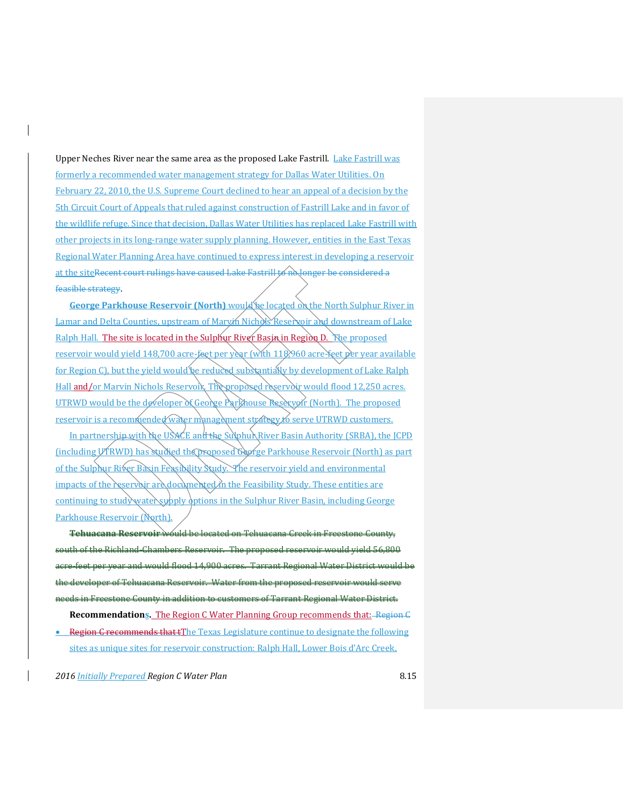Upper Neches River near the same area as the proposed Lake Fastrill. Lake Fastrill was formerly a recommended water management strategy for Dallas Water Utilities. On February 22, 2010, the U.S. Supreme Court declined to hear an appeal of a decision by the 5th Circuit Court of Appeals that ruled against construction of Fastrill Lake and in favor of the wildlife refuge. Since that decision, Dallas Water Utilities has replaced Lake Fastrill with other projects in its long-range water supply planning. However, entities in the East Texas Regional Water Planning Area have continued to express interest in developing a reservoir at the siteRecent court rulings have caused Lake Fastrill to no longer be considered a feasible strategy.

**George Parkhouse Reservoir (North)** would be located on the North Sulphur River in Lamar and Delta Counties, upstream of Marvin Nichols Reservoir and downstream of Lake Ralph Hall. The site is located in the Sulphur River Basin in Region D. The proposed reservoir would yield 148,700 acre-feet per year (with 118,960 acre-feet per year available for Region C), but the yield would be reduced substantially by development of Lake Ralph Hall and/or Marvin Nichols Reservoix. The proposed reservoir would flood 12,250 acres. UTRWD would be the developer of George Parkhouse Reservoir (North). The proposed reservoir is a recommended water management strategy to serve UTRWD customers.

In partnership with the USACE and the Sulphur River Basin Authority (SRBA), the JCPD (including UTRWD) has studied the proposed George Parkhouse Reservoir (North) as part of the Sulphur River Basin Feasibility Study. The reservoir yield and environmental impacts of the reservoir are documented in the Feasibility Study. These entities are continuing to study water supply options in the Sulphur River Basin, including George Parkhouse Reservoir (North).

**Tehuacana Reservoir** would be located on Tehuacana Creek in Freestone County, south of the Richland-Chambers Reservoir. The proposed reservoir would yield 56,800 feet ner year and would flood 14,900 acres. Tarrant Regional Water District would be the developer of Tehuacana Reservoir. Water from the proposed reservoir would serve needs in Freestone County in addition to customers of Tarrant Regional Water District.

**Recommendations.** The Region C Water Planning Group recommends that:Region C • Region C recommends that tThe Texas Legislature continue to designate the following sites as unique sites for reservoir construction: Ralph Hall, Lower Bois d'Arc Creek,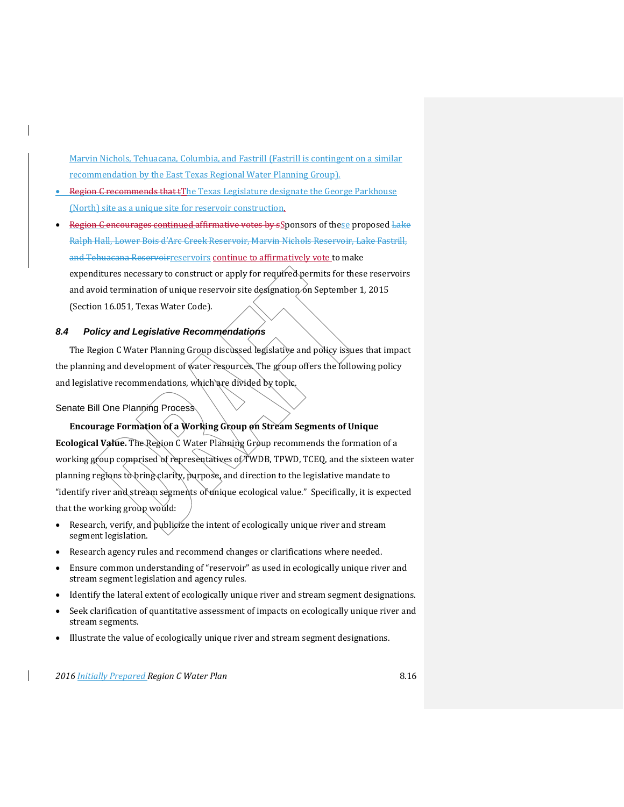Marvin Nichols, Tehuacana, Columbia, and Fastrill (Fastrill is contingent on a similar recommendation by the East Texas Regional Water Planning Group).

- Region C recommends that tThe Texas Legislature designate the George Parkhouse (North) site as a unique site for reservoir construction.
- Region C encourages continued affirmative votes by sSponsors of these proposed Lake Ralph Hall, Lower Bois d'Arc Creek Reservoir, Marvin Nichols Reservoir, Lake Fastrill, and Tehuacana Reservoirreservoirs continue to affirmatively vote to make expenditures necessary to construct or apply for required permits for these reservoirs and avoid termination of unique reservoir site designation on September 1, 2015 (Section 16.051, Texas Water Code).

### *8.4 Policy and Legislative Recommendations*

The Region C Water Planning Group discussed legislative and policy issues that impact the planning and development of water resources. The group offers the following policy and legislative recommendations, which are divided by topic.

Senate Bill One Planning Process

**Encourage Formation of a Working Group on Stream Segments of Unique**  Ecological Value. The Region C Water Planning Group recommends the formation of a working group comprised of representatives of TWDB, TPWD, TCEQ, and the sixteen water planning regions to bring clarity, purpose, and direction to the legislative mandate to "identify river and stream segments of unique ecological value." Specifically, it is expected that the working group would:

- Research, verify, and publicize the intent of ecologically unique river and stream segment legislation.
- Research agency rules and recommend changes or clarifications where needed.
- Ensure common understanding of "reservoir" as used in ecologically unique river and stream segment legislation and agency rules.
- Identify the lateral extent of ecologically unique river and stream segment designations.
- Seek clarification of quantitative assessment of impacts on ecologically unique river and stream segments.
- Illustrate the value of ecologically unique river and stream segment designations.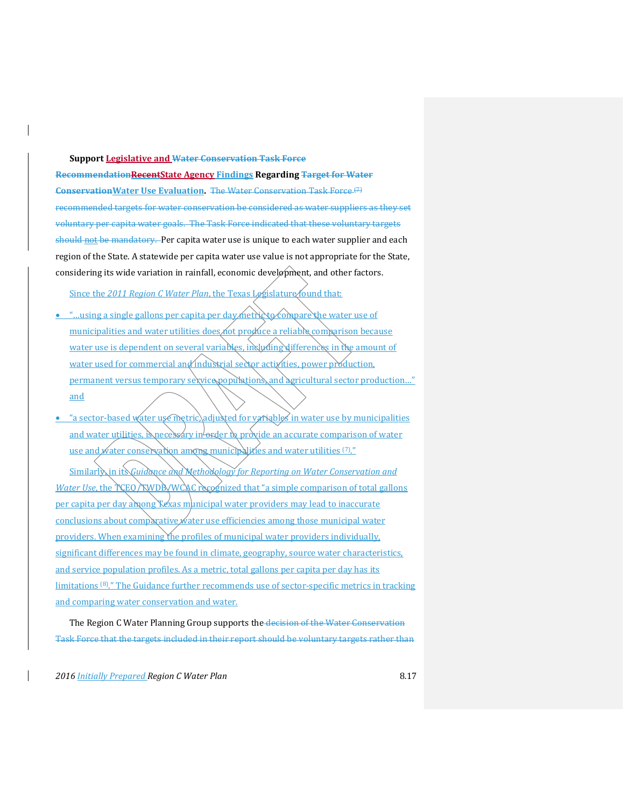**Support Legislative and Water Conservation Task Force RecommendationRecentState Agency Findings Regarding Target for Water ConservationWater Use Evaluation.** The Water Conservation Task Force (7) recommended targets for water conservation be considered as water suppliers as they set voluntary per capita water goals. The Task Force indicated that these voluntary targets should not be mandatory. Per capita water use is unique to each water supplier and each region of the State. A statewide per capita water use value is not appropriate for the State, considering its wide variation in rainfall, economic development, and other factors.

Since the 2011 Region C Water Plan, the Texas Legislature found that:

- "...using a single gallons per capita per day metric to compare the water use of municipalities and water utilities does not produce a reliable comparison because water use is dependent on several variables, including differences in the amount of water used for commercial and industrial sector activities, power production, permanent versus temporary sexvice populations, and agricultural sector production..." and
- <u>• "a sector-based water use metric, adjusted for variables in water use by municipalities</u> and water utilities, is necessary in  $\omega$  order to provide an accurate comparison of water use and water conservation among municipalities and water utilities (7)."

Similarly in its *Guidance and Methodology for Reporting on Water Conservation and Water Use*, the TCEO/TWDB/WCAC recognized that "a simple comparison of total gallons per capita per day among Texas municipal water providers may lead to inaccurate conclusions about comparative water use efficiencies among those municipal water providers. When examining the profiles of municipal water providers individually, significant differences may be found in climate, geography, source water characteristics, and service population profiles. As a metric, total gallons per capita per day has its limitations (8)." The Guidance further recommends use of sector-specific metrics in tracking and comparing water conservation and water.

The Region C Water Planning Group supports the decision of the Water Conservation Task Force that the targets included in their report should be voluntary targets rather than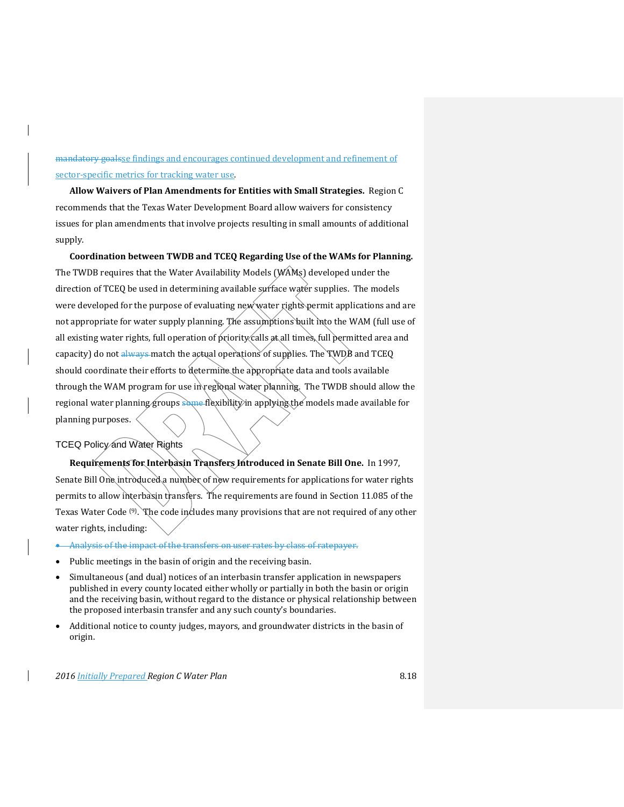mandatory goalsse findings and encourages continued development and refinement of sector-specific metrics for tracking water use.

**Allow Waivers of Plan Amendments for Entities with Small Strategies.** Region C recommends that the Texas Water Development Board allow waivers for consistency issues for plan amendments that involve projects resulting in small amounts of additional supply.

**Coordination between TWDB and TCEQ Regarding Use of the WAMs for Planning.** The TWDB requires that the Water Availability Models (WAMs) developed under the direction of TCEQ be used in determining available surface water supplies. The models were developed for the purpose of evaluating new water rights permit applications and are not appropriate for water supply planning. The assumptions built into the WAM (full use of all existing water rights, full operation of priority calls at all times, full permitted area and capacity) do not always match the actual operations of supplies. The TWDB and TCEQ should coordinate their efforts to determine the appropriate data and tools available through the WAM program for use in regional water planning. The TWDB should allow the regional water planning groups some flexibility in applying the models made available for planning purposes.

### TCEQ Policy and Water Rights

**Requirements for Interbasin Transfers Introduced in Senate Bill One.** In 1997, Senate Bill One introduced a number of new requirements for applications for water rights permits to allow interbasin transfers. The requirements are found in Section 11.085 of the Texas Water Code (9). The code includes many provisions that are not required of any other water rights, including:

- Analysis of the impact of the transfers on user rates by class of ratepayer.
- Public meetings in the basin of origin and the receiving basin.
- Simultaneous (and dual) notices of an interbasin transfer application in newspapers published in every county located either wholly or partially in both the basin or origin and the receiving basin, without regard to the distance or physical relationship between the proposed interbasin transfer and any such county's boundaries.
- Additional notice to county judges, mayors, and groundwater districts in the basin of origin.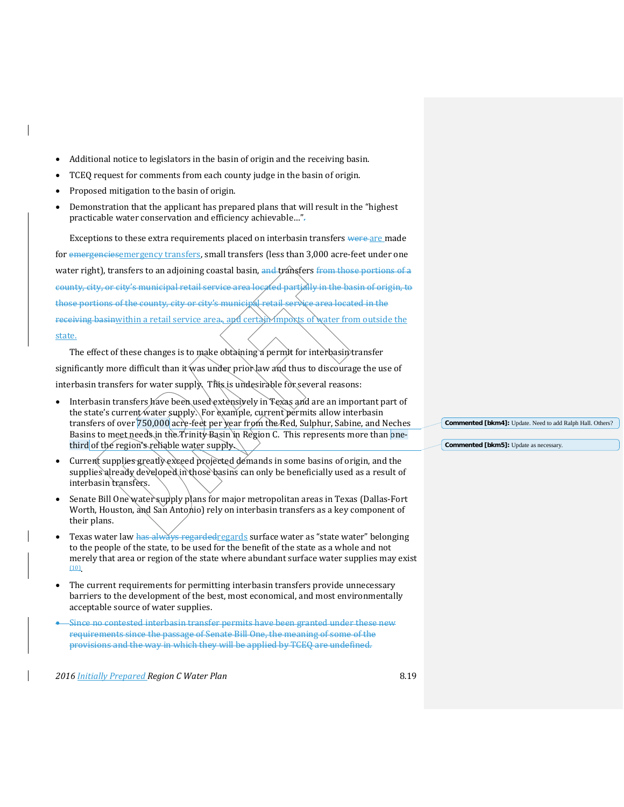- Additional notice to legislators in the basin of origin and the receiving basin.
- TCEQ request for comments from each county judge in the basin of origin.
- Proposed mitigation to the basin of origin.
- Demonstration that the applicant has prepared plans that will result in the "highest practicable water conservation and efficiency achievable...".

Exceptions to these extra requirements placed on interbasin transfers were are made for emergencies emergency transfers, small transfers (less than 3,000 acre-feet under one water right), transfers to an adjoining coastal basin, and transfers from those portions of a county, city, or city's municipal retail service area located partially in the basin of origin, to those portions of the county, city or city's municipal retail service area located in the receiving basinwithin a retail service area., and certain imports of water from outside the state.

The effect of these changes is to make obtaining a permit for interbasin transfer significantly more difficult than it was under prior law and thus to discourage the use of interbasin transfers for water supply. This is undesirable for several reasons:

- Interbasin transfers have been used extensively in Texas and are an important part of the state's current water supply. For example, current permits allow interbasin transfers of over 750,000 acre-feet per year from the Red, Sulphur, Sabine, and Neches Basins to meet needs in the Trinity Basin in Region C. This represents more than onethird of the region's reliable water supply.
- Current supplies greatly exceed projected demands in some basins of origin, and the supplies already developed in those basins can only be beneficially used as a result of interbasin transfers.
- Senate Bill One water supply plans for major metropolitan areas in Texas (Dallas-Fort Worth, Houston, and San Antonio) rely on interbasin transfers as a key component of their plans.
- Texas water law has always regardedregards surface water as "state water" belonging to the people of the state, to be used for the benefit of the state as a whole and not merely that area or region of the state where abundant surface water supplies may exist (10).
- The current requirements for permitting interbasin transfers provide unnecessary barriers to the development of the best, most economical, and most environmentally acceptable source of water supplies.
- Since no contested interbasin transfer permits have been granted under these new requirements since the passage of Senate Bill One, the meaning of some of the provisions and the way in which they will be applied by TCEQ are undefined.

*2016 Initially Prepared Region C Water Plan* 8.19

**Commented [bkm4]:** Update. Need to add Ralph Hall. Others?

**Commented [bkm5]:** Update as necessary.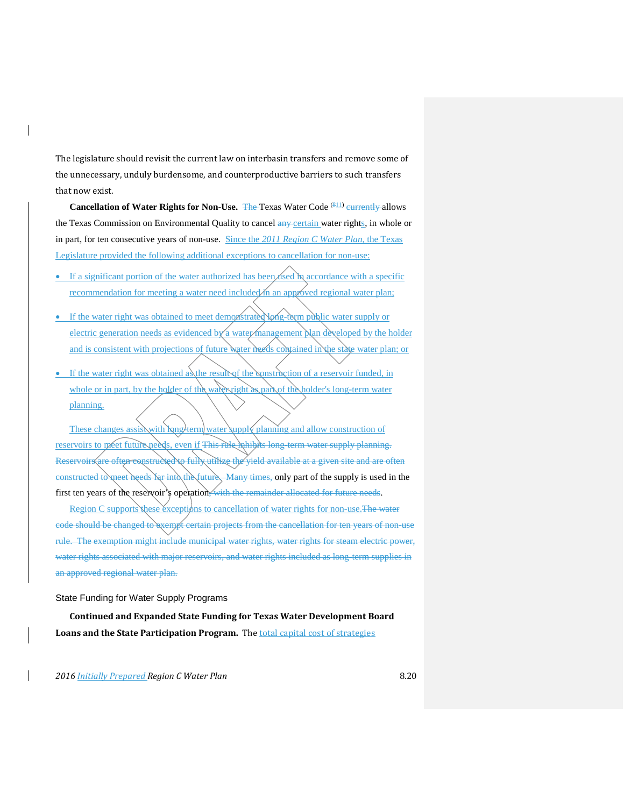The legislature should revisit the current law on interbasin transfers and remove some of the unnecessary, unduly burdensome, and counterproductive barriers to such transfers that now exist.

**Cancellation of Water Rights for Non-Use.** The Texas Water Code (811) currently allows the Texas Commission on Environmental Quality to cancel any certain water rights, in whole or in part, for ten consecutive years of non-use. Since the *2011 Region C Water Plan*, the Texas Legislature provided the following additional exceptions to cancellation for non-use:

- If a significant portion of the water authorized has been  $\angle$  accordance with a specific recommendation for meeting a water need included in an approved regional water plan;
- If the water right was obtained to meet demonstrated long-term public water supply or electric generation needs as evidenced by a water management plan developed by the holder and is consistent with projections of future water needs contained in the state water plan; or
- If the water right was obtained as the result of the construction of a reservoir funded, in whole or in part, by the holder of the water right as part of the holder's long-term water planning.

These changes assist with long-term water supply planning and allow construction of reservoirs to meet future needs, even if This rule minimage bare term water supply planning. Reservoirs are often constructed to fully utilize the yield available at a given site and are often constructed to meet heeds far into the future. Many times, only part of the supply is used in the first ten years of the reservoir's operation, with the remainder allocated for future needs.

Region C supports these exceptions to cancellation of water rights for non-use. The water code should be changed to exempt certain projects from the cancellation for ten years of non-use rule. The exemption might include municipal water rights, water rights for steam electric power, water rights associated with major reservoirs, and water rights included as long-term supplies in an approved regional water plan.

### State Funding for Water Supply Programs

**Continued and Expanded State Funding for Texas Water Development Board Loans and the State Participation Program.** The total capital cost of strategies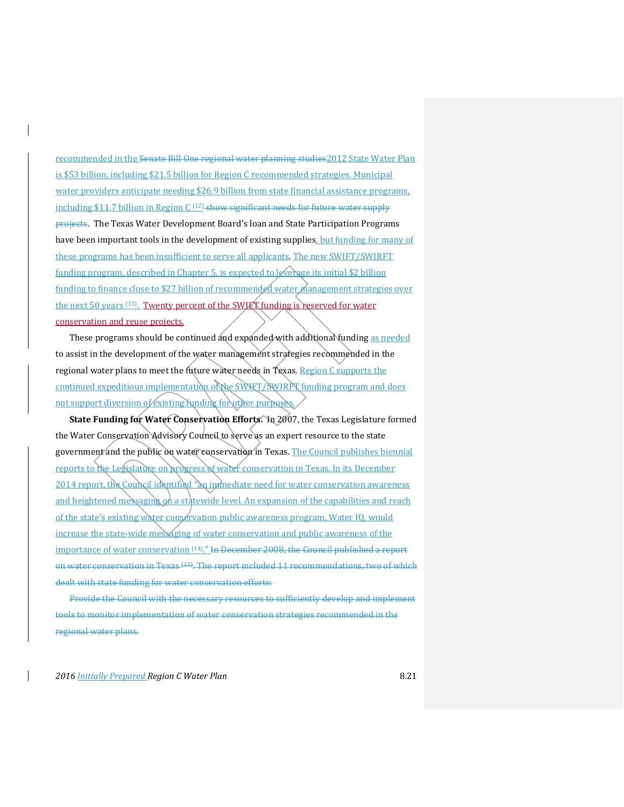recommended in the Senate Bill One regional water planning studies 2012 State Water Plan is \$53 billion, including \$21.5 billion for Region C recommended strategies. Municipal water providers anticipate needing \$26.9 billion from state financial assistance programs, including \$11.7 billion in Region  $C^{(12)}$  show significant needs for future water supply projects. The Texas Water Development Board's loan and State Participation Programs have been important tools in the development of existing supplies, but funding for many of these programs has been insufficient to serve all applicants. The new SWIFT/SWIRFT funding program, described in Chapter 5, is expected to leverage its initial \$2 billion funding to finance close to \$27 billion of recommended water management strategies over the next 50 years <sup>(13)</sup>. Twenty percent of the SWIFT funding is reserved for water conservation and reuse projects.

These programs should be continued and expanded with additional funding as needed to assist in the development of the water management strategies recommended in the regional water plans to meet the future water needs in Texas. Region C supports the continued expeditious implementation of the SWIFT/SWIRFT funding program and does not support diversion of existing funding for other purpose

State Funding for Water Conservation Efforts. In 2007, the Texas Legislature formed the Water Conservation Advisory Council to serve as an expert resource to the state government and the public on water conservation in Texas. The Council publishes biennial reports to the Legislature on progress of water conservation in Texas. In its December 2014 report, the Council identified "an immediate need for water conservation awareness and heightened messaging on a statewide level. An expansion of the capabilities and reach of the state's existing water conservation public awareness program, Water IQ, would increase the state-wide messaging of water conservation and public awareness of the importance of water conservation <sup>(14)</sup>." In December 2008, the Council published a report on water conservation in Texas <sup>(15)</sup>. The report included 11 recommendations, two of which dealt with state funding for water conservation efforts:

Provide the Council with the necessary resources to sufficiently develop and implement tools to monitor implementation of water conservation strategies recommended in the regional water plans.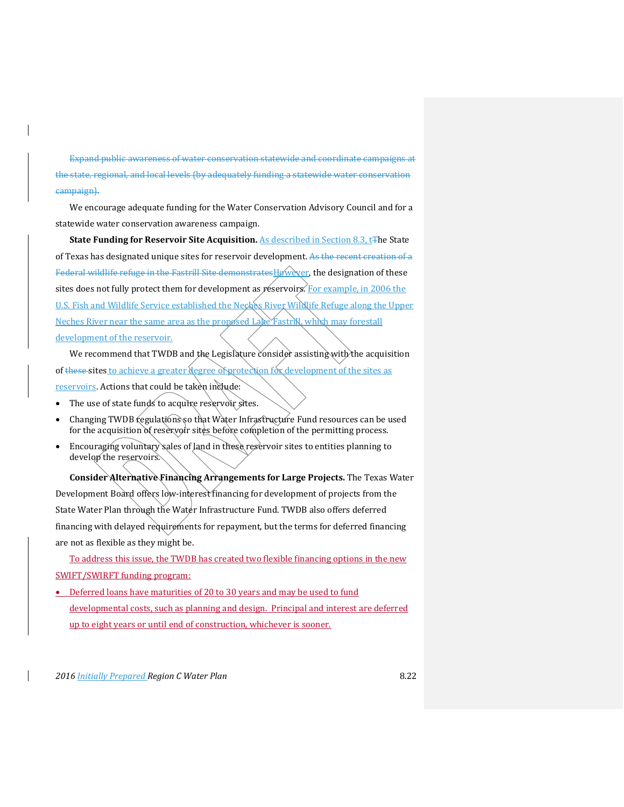Expand public awareness of water conservation statewide and coordinate campaigns at the state, regional, and local levels (by adequately funding a statewide water conservation campaign).

We encourage adequate funding for the Water Conservation Advisory Council and for a statewide water conservation awareness campaign.

**State Funding for Reservoir Site Acquisition.** As described in Section 8.3, t<sub>T</sub>he State of Texas has designated unique sites for reservoir development. As the recent creation of a Federal wildlife refuge in the Fastrill Site demonstrates Høwever, the designation of these sites does not fully protect them for development as  $r$ éservoirs. For example, in 2006 the U.S. Fish and Wildlife Service established the Neches River Wildlife Refuge along the Upper Neches River near the same area as the proposed Lake Fastrill, which may forestall development of the reservoir.

We recommend that TWDB and the Legislature consider assisting with the acquisition of these sites to achieve a greater degree of protection for development of the sites as reservoirs. Actions that could be taken include:

- The use of state funds to acquire reservoir sites.
- Changing TWDB regulations so that Water Infrastructure Fund resources can be used for the acquisition of reservoir sites before completion of the permitting process.
- Encouraging voluntary sales of land in these reservoir sites to entities planning to develop the reservoirs.

**Consider Alternative Financing Arrangements for Large Projects.** The Texas Water Development Board offers low-interest financing for development of projects from the State Water Plan through the Water Infrastructure Fund. TWDB also offers deferred financing with delayed requirements for repayment, but the terms for deferred financing are not as flexible as they might be.

To address this issue, the TWDB has created two flexible financing options in the new SWIFT/SWIRFT funding program:

• Deferred loans have maturities of 20 to 30 years and may be used to fund developmental costs, such as planning and design. Principal and interest are deferred up to eight years or until end of construction, whichever is sooner.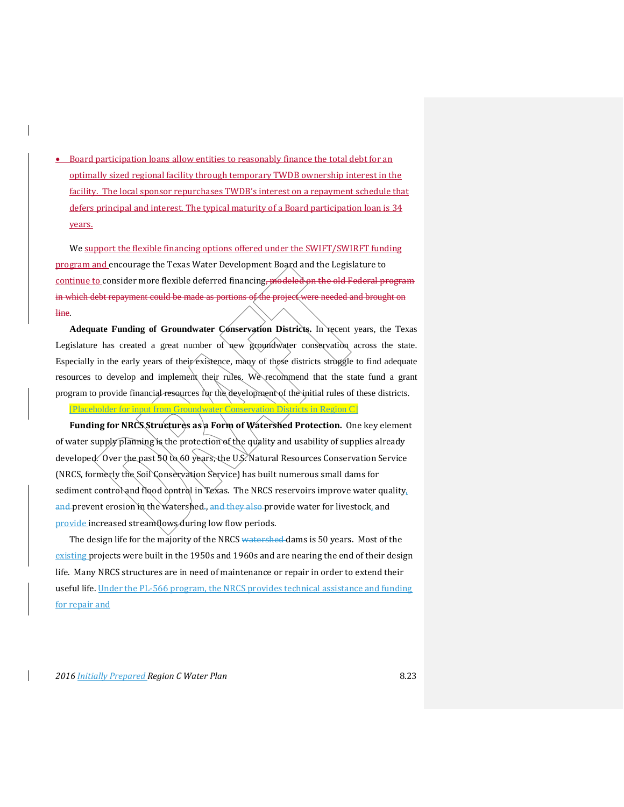• Board participation loans allow entities to reasonably finance the total debt for an optimally sized regional facility through temporary TWDB ownership interest in the facility. The local sponsor repurchases TWDB's interest on a repayment schedule that defers principal and interest. The typical maturity of a Board participation loan is 34 years.

We support the flexible financing options offered under the SWIFT/SWIRFT funding program and encourage the Texas Water Development Board and the Legislature to continue to consider more flexible deferred financing, modeled on the old Federal program in which debt repayment could be made as portions of the project were needed and brought on line.

**Adequate Funding of Groundwater Conservation Districts.** In recent years, the Texas Legislature has created a great number of new groundwater conservation across the state. Especially in the early years of their existence, many of these districts struggle to find adequate resources to develop and implement their rules. We recommend that the state fund a grant program to provide financial resources for the development of the initial rules of these districts.

[Placeholder for input from Groundwater Conservation Districts in Region C]

Funding for NRCS Structures as a Form of Watershed Protection. One key element of water supply planning is the protection of the quality and usability of supplies already developed. Over the past 50 to 60 years, the U.S. Natural Resources Conservation Service (NRCS, formerly the Soil Conservation Service) has built numerous small dams for sediment control and flood control in Texas. The NRCS reservoirs improve water quality, and prevent erosion in the watershed., and they also provide water for livestock, and provide increased streamflows during low flow periods.

The design life for the majority of the NRCS watershed dams is 50 years. Most of the existing projects were built in the 1950s and 1960s and are nearing the end of their design life. Many NRCS structures are in need of maintenance or repair in order to extend their useful life. Under the PL-566 program, the NRCS provides technical assistance and funding for repair and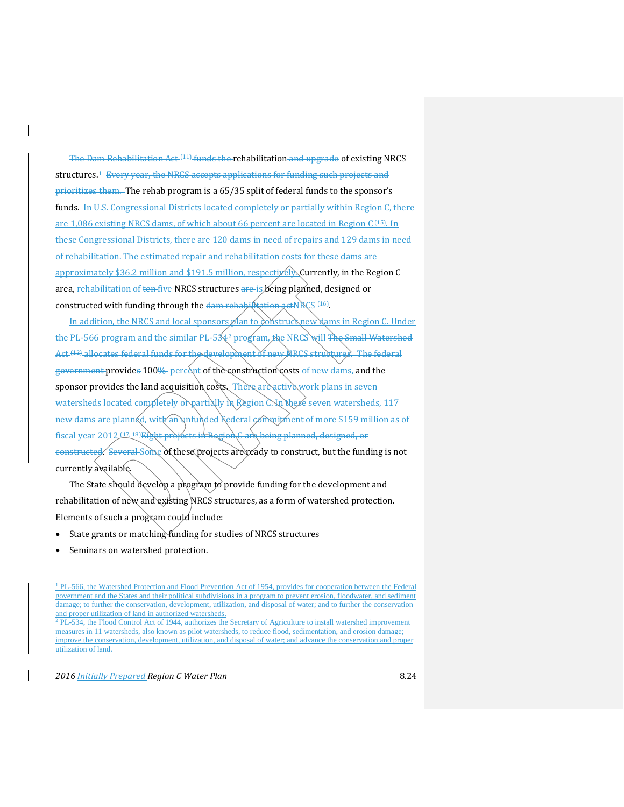The Dam Rehabilitation Act (11) funds the rehabilitation and upgrade of existing NRCS structures.<sup>[1](#page-23-0)</sup> Every year, the NRCS accepts applications for funding such projects and prioritizes them. The rehab program is a 65/35 split of federal funds to the sponsor's funds. In U.S. Congressional Districts located completely or partially within Region C, there are 1,086 existing NRCS dams, of which about 66 percent are located in Region C (15). In these Congressional Districts, there are 120 dams in need of repairs and 129 dams in need of rehabilitation. The estimated repair and rehabilitation costs for these dams are approximately \$36.2 million and \$191.5 million, respectively. Currently, in the Region C area, rehabilitation of ten five NRCS structures are is being planned, designed or constructed with funding through the  $\frac{1}{2}$  rehabilitation actNRCS (16).

In addition, the NRCS and local sponsors  $p$  an to construct new dams in Region C. Under the PL-566 program and the similar PL-5342 program, the NRCS will The Small Watershed Act (12) allocates federal funds for the development of new NRCS structures. The federal government provides 100% percent of the construction costs of new dams, and the sponsor provides the land acquisition costs. There are active work plans in seven watersheds located completely or partially in Region  $\mathbb{C}$  in these seven watersheds, 117 new dams are planned, with an unfunded rederal commitment of more \$159 million as of fiscal year 2012 (17, 18)Eight projects in Region G are being planned, designed, or constructed. Several Some of these projects are ready to construct, but the funding is not currently available.

The State should develop a program to provide funding for the development and rehabilitation of new and existing NRCS structures, as a form of watershed protection. Elements of such a program could include:

- State grants or matching funding for studies of NRCS structures
- Seminars on watershed protection.

 $\overline{a}$ 

<sup>&</sup>lt;sup>1</sup> PL-566, the Watershed Protection and Flood Prevention Act of 1954, provides for cooperation between the Federal government and the States and their political subdivisions in a program to prevent erosion, floodwater, and sediment damage; to further the conservation, development, utilization, and disposal of water; and to further the conservation and proper utilization of land in authorized watersheds.

<span id="page-23-1"></span><span id="page-23-0"></span><sup>&</sup>lt;sup>2</sup> PL-534, the Flood Control Act of 1944, authorizes the Secretary of Agriculture to install watershed improvement measures in 11 watersheds, also known as pilot watersheds, to reduce flood, sedimentation, and erosion damage; improve the conservation, development, utilization, and disposal of water; and advance the conservation and proper utilization of land.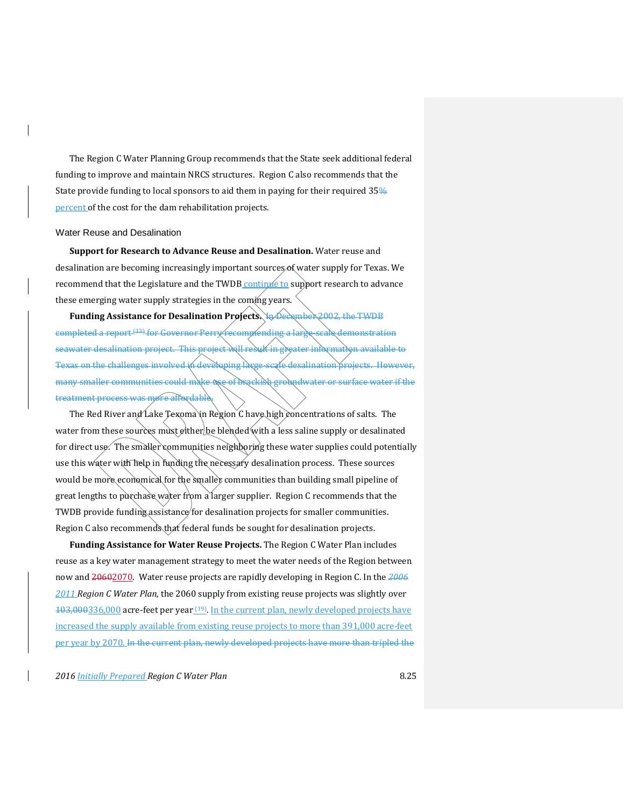The Region C Water Planning Group recommends that the State seek additional federal funding to improve and maintain NRCS structures. Region C also recommends that the State provide funding to local sponsors to aid them in paying for their required 35% percent of the cost for the dam rehabilitation projects.

#### Water Reuse and Desalination

**Support for Research to Advance Reuse and Desalination.** Water reuse and desalination are becoming increasingly important sources of water supply for Texas. We recommend that the Legislature and the TWDB continue to support research to advance these emerging water supply strategies in the coming years.

Funding Assistance for Desalination Projects. In December 2002, the TWDB completed a report (13) for Governor Perry recommending a large-scale demonstration seawater desalination project. This project will result in greater information available to Texas on the challenges involved in developing large-scale desalination projects. However, many smaller communities could make use of brackish groundwater or surface water if the treatment process was more affordabl

The Red River and Lake Texoma in Region C have high concentrations of salts. The water from these sources must either be blended with a less saline supply or desalinated for direct use. The smaller communities neighboring these water supplies could potentially use this water with help in funding the necessary desalination process. These sources would be more economical for the smaller communities than building small pipeline of great lengths to purchase water from a larger supplier. Region C recommends that the TWDB provide funding assistance for desalination projects for smaller communities. Region C also recommends that federal funds be sought for desalination projects.

**Funding Assistance for Water Reuse Projects.** The Region C Water Plan includes reuse as a key water management strategy to meet the water needs of the Region between now and 20602070. Water reuse projects are rapidly developing in Region C. In the *2006 2011 Region C Water Plan*, the 2060 supply from existing reuse projects was slightly over 103,000336,000 acre-feet per year (19). In the current plan, newly developed projects have increased the supply available from existing reuse projects to more than 391,000 acre-feet per year by 2070. In the current plan, newly developed projects have more than tripled the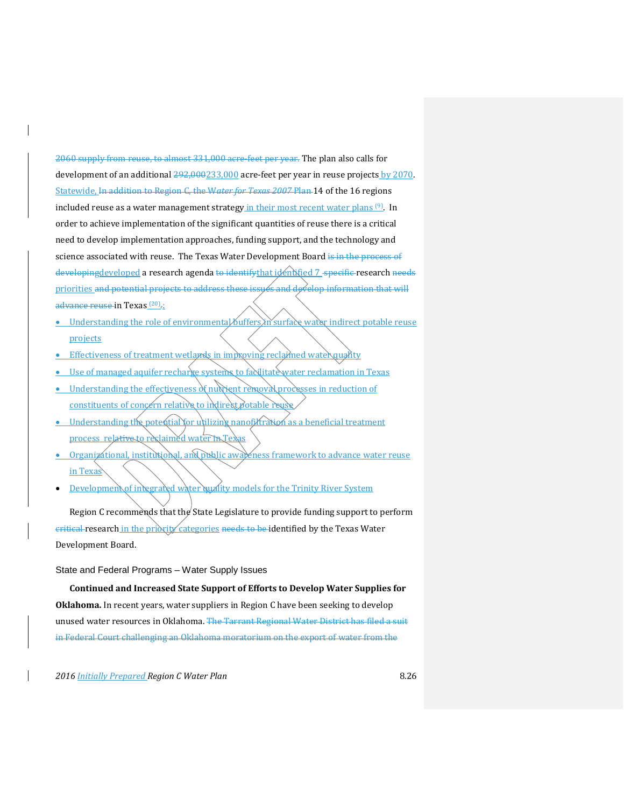2060 supply from reuse, to almost 331,000 acre-feet per year. The plan also calls for development of an additional  $292,000233,000$  acre-feet per year in reuse projects by 2070. Statewide, In addition to Region C, the W*ater for Texas 2007* Plan 14 of the 16 regions included reuse as a water management strategy in their most recent water plans <sup>(9)</sup>. In order to achieve implementation of the significant quantities of reuse there is a critical need to develop implementation approaches, funding support, and the technology and science associated with reuse. The Texas Water Development Board is in the process of developingdeveloped a research agenda to identifythat identified 7 specific research needs priorities and potential projects to address these issues and develop information that will advance reuse in Texas<sup>(20)</sup>.:

- Understanding the role of environmental buffers in surface water indirect potable reuse projects
- Effectiveness of treatment wetlands in improving reclaimed water quality
- Use of managed aquifer recharge systems to facilitate water reclamation in Texas
- Understanding the effectiveness of nutrient removal processes in reduction of constituents of concern relative to indirect potable reuse
- Understanding the potential for utilizing nanofiltration as a beneficial treatment process relative to reclaimed water in Texas
- Organizational, institutional, and public awareness framework to advance water reuse in Texas
- Development of integrated water quality models for the Trinity River System

Region C recommends that the State Legislature to provide funding support to perform eritical research in the priority categories needs to be identified by the Texas Water Development Board.

State and Federal Programs – Water Supply Issues

**Continued and Increased State Support of Efforts to Develop Water Supplies for Oklahoma.** In recent years, water suppliers in Region C have been seeking to develop unused water resources in Oklahoma. The Tarrant Regional Water District has filed a suit in Federal Court challenging an Oklahoma moratorium on the export of water from the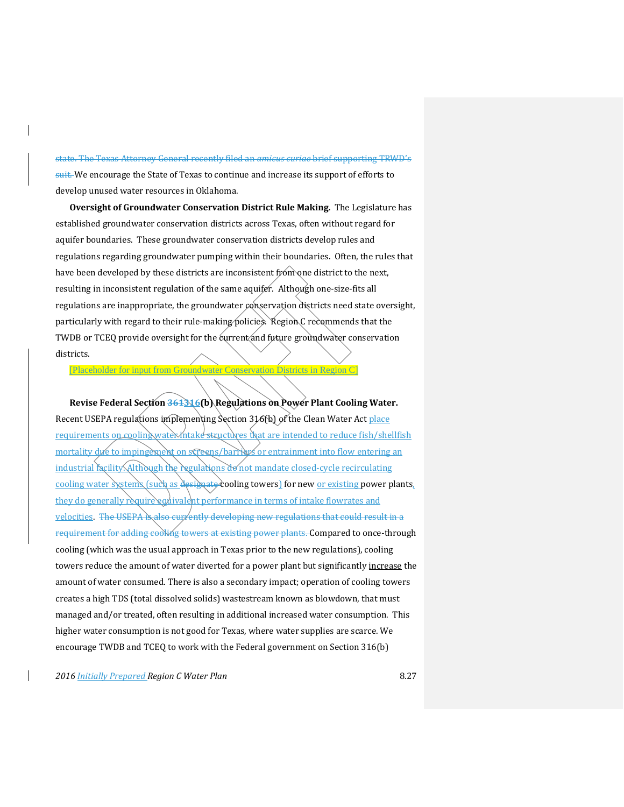state. The Texas Attorney General recently filed an *amicus curiae* brief supporting TRWD's suit. We encourage the State of Texas to continue and increase its support of efforts to develop unused water resources in Oklahoma.

**Oversight of Groundwater Conservation District Rule Making.** The Legislature has established groundwater conservation districts across Texas, often without regard for aquifer boundaries. These groundwater conservation districts develop rules and regulations regarding groundwater pumping within their boundaries. Often, the rules that have been developed by these districts are inconsistent from one district to the next, resulting in inconsistent regulation of the same aquifer. Although one-size-fits all regulations are inappropriate, the groundwater conservation districts need state oversight, particularly with regard to their rule-making policies. Region C recommends that the TWDB or TCEQ provide oversight for the current and future groundwater conservation districts.

[Placeholder for input from Groundwater Conservation Districts in Region C]

**Revise Federal Section 361316(b) Regulations on Power Plant Cooling Water.** Recent USEPA regulations implementing Section 316(b) of the Clean Water Act place requirements on cooling water intake structures that are intended to reduce fish/shellfish mortality due to impingement on screens/barriers or entrainment into flow entering an industrial facility. Although the regulations do not mandate closed-cycle recirculating cooling water systems (such as designate cooling towers) for new <u>or existing</u> power plants, they do generally require equivalent performance in terms of intake flowrates and velocities. The USEPA is also currently developing new regulations that could result in a requirement for adding cooling towers at existing power plants. Compared to once-through cooling (which was the usual approach in Texas prior to the new regulations), cooling towers reduce the amount of water diverted for a power plant but significantly increase the amount of water consumed. There is also a secondary impact; operation of cooling towers creates a high TDS (total dissolved solids) wastestream known as blowdown, that must managed and/or treated, often resulting in additional increased water consumption. This higher water consumption is not good for Texas, where water supplies are scarce. We encourage TWDB and TCEQ to work with the Federal government on Section 316(b)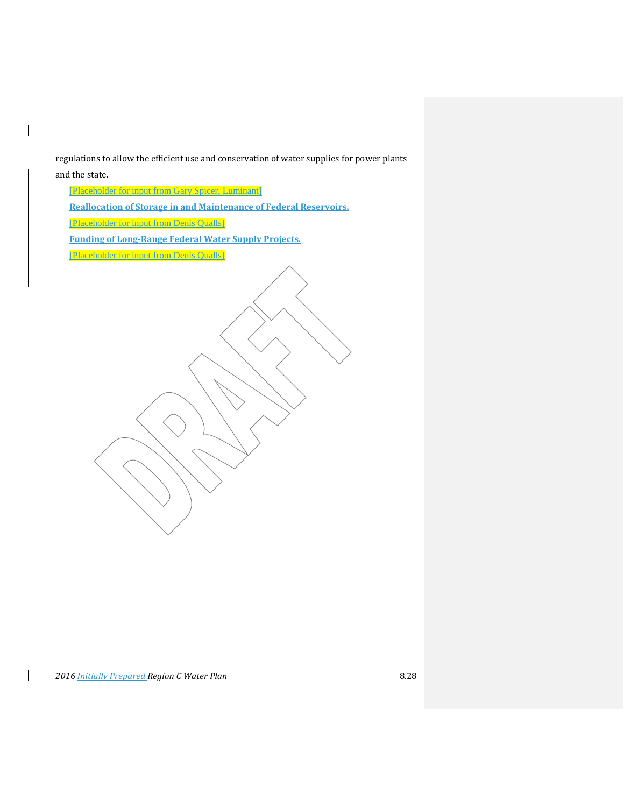regulations to allow the efficient use and conservation of water supplies for power plants

and the state.

 $\overline{\phantom{a}}$ 

 $\mathbf{I}$ 

[Placeholder for input from Gary Spicer, Luminant]

**Reallocation of Storage in and Maintenance of Federal Reservoirs.**

[Placeholder for input from Denis Qualls]

**Funding of Long-Range Federal Water Supply Projects.**

[Placeholder for input from Denis Qualls]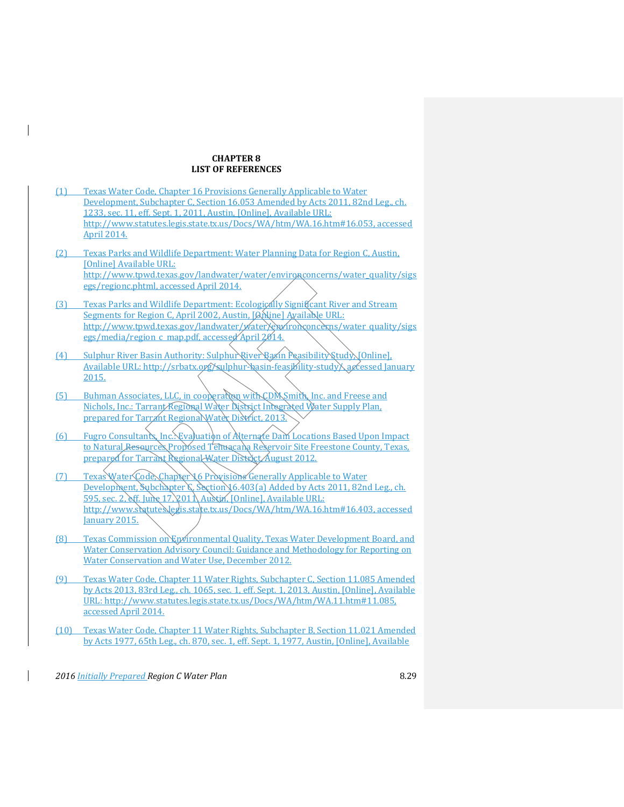### **CHAPTER 8 LIST OF REFERENCES**

- (1) Texas Water Code, Chapter 16 Provisions Generally Applicable to Water Development, Subchapter C, Section 16.053 Amended by Acts 2011, 82nd Leg., ch. 1233, sec. 11, eff. Sept. 1, 2011, Austin, [Online], Available URL: [http://www.statutes.legis.state.tx.us/Docs/WA/htm/WA.16.htm#16.053,](http://www.statutes.legis.state.tx.us/Docs/WA/htm/WA.16.htm%2316.053) accessed April 2014.
- (2) Texas Parks and Wildlife Department: Water Planning Data for Region C, Austin, [Online] Available URL: [http://www.tpwd.texas.gov/landwater/water/environconcerns/water\\_quality/sigs](http://www.tpwd.texas.gov/landwater/water/environconcerns/water_quality/sigsegs/regionc.phtml) [egs/regionc.phtml,](http://www.tpwd.texas.gov/landwater/water/environconcerns/water_quality/sigsegs/regionc.phtml) accessed April 2014.
- (3) Texas Parks and Wildlife Department: Ecologically Significant River and Stream Segments for Region C, April 2002, Austin, [Anline] Available URL: http://www.tpwd.texas.gov/landwater/waterXenvironconcerns/water\_quality/sigs [egs/media/region\\_c\\_map.pdf,](http://www.tpwd.texas.gov/landwater/water/environconcerns/water_quality/sigsegs/media/region_c_map.pdf) accessed April 2014.
- (4) Sulphur River Basin Authority: Sulphur River Basin Feasibility Study, [Online], Available URL: http://srbatx.org/sulphur-basin-feasibility-study), accessed January 2015.
- (5) Buhman Associates, LLC, in cooperation with CDM Smith, Inc. and Freese and Nichols, Inc.: Tarrant Regional Water District Integrated Water Supply Plan, prepared for Tarrant Regional Water District, 2013.
- (6) Fugro Consultants, Inc.: Evaluation of Alternate Dam Locations Based Upon Impact to Natural Resources Proposed Tehuacana Reservoir Site Freestone County, Texas, prepared for Tarrant Regional Water District August 2012.
- (7) Texas Water Code, Chapter 16 Provisions Generally Applicable to Water Development, Subchapter G, Section 16.403(a) Added by Acts 2011, 82nd Leg., ch. 595, sec. 2, eff. June  $17$ , 201 $\Lambda$  Austin, [Online], Available URL: [http://www.statutes.legis.state.tx.us/Docs/WA/htm/WA.16.htm#16.403,](http://www.statutes.legis.state.tx.us/Docs/WA/htm/WA.16.htm%2316.403) accessed January 2015.
- (8) Texas Commission on Environmental Quality, Texas Water Development Board, and Water Conservation Advisory Council: Guidance and Methodology for Reporting on Water Conservation and Water Use, December 2012.
- (9) Texas Water Code, Chapter 11 Water Rights, Subchapter C, Section 11.085 Amended by Acts 2013, 83rd Leg., ch. 1065, sec. 1, eff. Sept. 1, 2013, Austin, [Online], Available URL: [http://www.statutes.legis.state.tx.us/Docs/WA/htm/WA.11.htm#11.085,](http://www.statutes.legis.state.tx.us/Docs/WA/htm/WA.11.htm%2311.085)  accessed April 2014.
- (10) Texas Water Code, Chapter 11 Water Rights, Subchapter B, Section 11.021 Amended by Acts 1977, 65th Leg., ch. 870, sec. 1, eff. Sept. 1, 1977, Austin, [Online], Available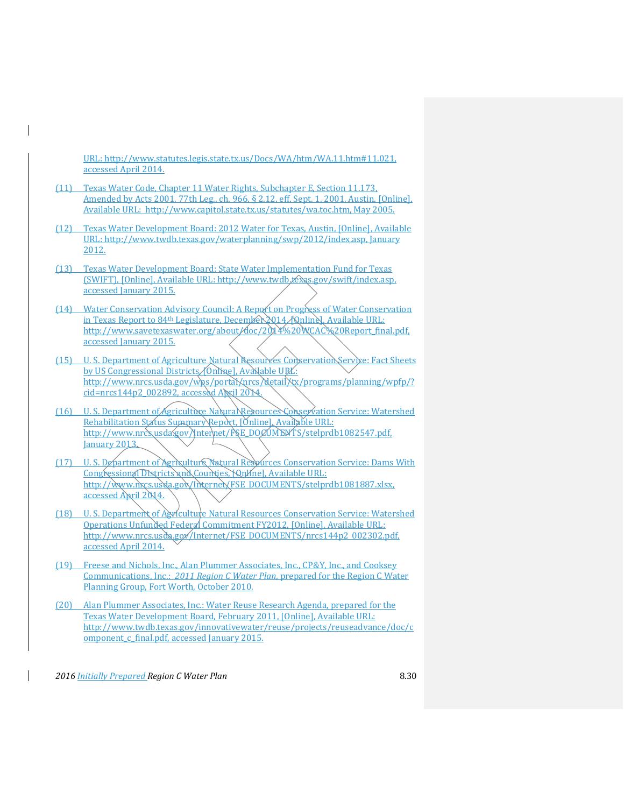URL: [http://www.statutes.legis.state.tx.us/Docs/WA/htm/WA.11.htm#11.021,](http://www.statutes.legis.state.tx.us/Docs/WA/htm/WA.11.htm%2311.021)  accessed April 2014.

- (11) Texas Water Code, Chapter 11 Water Rights, Subchapter E, Section 11.173, Amended by Acts 2001, 77th Leg., ch. 966, § 2.12, eff. Sept. 1, 2001, Austin, [Online], Available URL: [http://www.capitol.state.tx.us/statutes/wa.toc.htm,](http://www.capitol.state.tx.us/statutes/wa.toc.htm) May 2005.
- (12) Texas Water Development Board: 2012 Water for Texas, Austin, [Online], Available URL: [http://www.twdb.texas.gov/waterplanning/swp/2012/index.asp,](http://www.twdb.texas.gov/waterplanning/swp/2012/index.asp) January 2012.
- (13) Texas Water Development Board: State Water Implementation Fund for Texas (SWIFT), [Online], Available URL: [http://www.twdb.texas.gov/swift/index.asp,](http://www.twdb.texas.gov/swift/index.asp) accessed January 2015.
- (14) Water Conservation Advisory Council: A Report on Progress of Water Conservation in Texas Report to 84<sup>th</sup> Legislature, December 2014, [Qnline], Available URL: [http://www.savetexaswater.org/about/doc/2014%20WCAC%20Report\\_final.pdf,](http://www.savetexaswater.org/about/doc/2014%20WCAC%20Report_final.pdf) accessed January 2015.
- (15) U. S. Department of Agriculture Natural Resources Conservation Service: Fact Sheets by US Congressional Districts (Online], Available URL: [http://www.nrcs.usda.gov/wps/portal/nrcs/detail/tx/programs/planning/wpfp/?](http://www.nrcs.usda.gov/wps/portal/nrcs/detail/tx/programs/planning/wpfp/?cid=nrcs144p2_002892) [cid=nrcs144p2\\_002892,](http://www.nrcs.usda.gov/wps/portal/nrcs/detail/tx/programs/planning/wpfp/?cid=nrcs144p2_002892) accessed April 2014.
- (16) U. S. Department of Agriculture Natural Resources Conservation Service: Watershed Rehabilitation Status Summary Report, [Online], Available URL: http://www.nrcs.usda.gov/Internet/FSE\_DOCUMENTS/stelprdb1082547.pdf. January 2013.
- (17) U. S. Department of Agriculture Natural Resources Conservation Service: Dams With Congressional Districts and Counties, Nunline], Available URL: [http://www.nrcs.usda.gov/Internet/FSE\\_DOCUMENTS/stelprdb1081887.xlsx,](http://www.nrcs.usda.gov/Internet/FSE_DOCUMENTS/stelprdb1081887.xlsx) accessed April 2014.
- (18) U. S. Department of Agriculture Natural Resources Conservation Service: Watershed Operations Unfunded Federal Commitment FY2012, [Online], Available URL: http://www.nrcs.usdg.gov/Internet/FSE\_DOCUMENTS/nrcs144p2\_002302.pdf, accessed April 2014.
- (19) Freese and Nichols, Inc., Alan Plummer Associates, Inc., CP&Y, Inc., and Cooksey Communications, Inc.: *2011 Region C Water Plan*, prepared for the Region C Water Planning Group, Fort Worth, October 2010.
- (20) Alan Plummer Associates, Inc.: Water Reuse Research Agenda, prepared for the Texas Water Development Board, February 2011, [Online], Available URL: [http://www.twdb.texas.gov/innovativewater/reuse/projects/reuseadvance/doc/c](http://www.twdb.texas.gov/innovativewater/reuse/projects/reuseadvance/doc/component_c_final.pdf) [omponent\\_c\\_final.pdf,](http://www.twdb.texas.gov/innovativewater/reuse/projects/reuseadvance/doc/component_c_final.pdf) accessed January 2015.